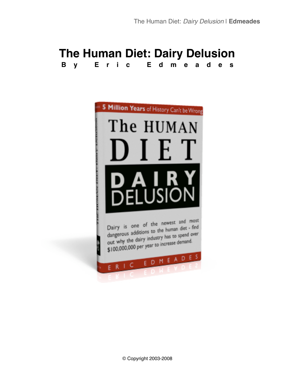# **The Human Diet: Dairy Delusion By Eric Edmeades**

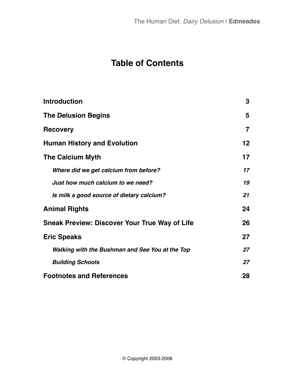# **Table of Contents**

| <b>Introduction</b>                                  | 3               |
|------------------------------------------------------|-----------------|
| <b>The Delusion Begins</b>                           | 5               |
| <b>Recovery</b>                                      | $\overline{7}$  |
| <b>Human History and Evolution</b>                   | 12 <sub>2</sub> |
| <b>The Calcium Myth</b>                              | 17              |
| Where did we get calcium from before?                | 17              |
| Just how much calcium to we need?                    | 19              |
| Is milk a good source of dietary calcium?            | 21              |
| <b>Animal Rights</b>                                 | 24              |
| <b>Sneak Preview: Discover Your True Way of Life</b> | 26              |
| <b>Eric Speaks</b>                                   | 27              |
| Walking with the Bushman and See You at the Top      | 27              |
| <b>Building Schools</b>                              | 27              |
| <b>Footnotes and References</b>                      | 28              |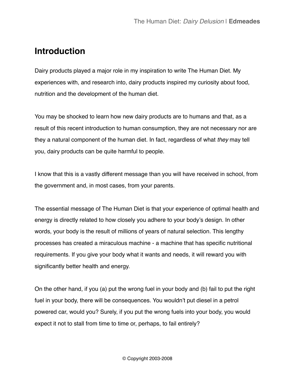# <span id="page-2-0"></span>**Introduction**

Dairy products played a major role in my inspiration to write The Human Diet. My experiences with, and research into, dairy products inspired my curiosity about food, nutrition and the development of the human diet.

You may be shocked to learn how new dairy products are to humans and that, as a result of this recent introduction to human consumption, they are not necessary nor are they a natural component of the human diet. In fact, regardless of what *they* may tell you, dairy products can be quite harmful to people.

I know that this is a vastly different message than you will have received in school, from the government and, in most cases, from your parents.

The essential message of The Human Diet is that your experience of optimal health and energy is directly related to how closely you adhere to your body's design. In other words, your body is the result of millions of years of natural selection. This lengthy processes has created a miraculous machine - a machine that has specific nutritional requirements. If you give your body what it wants and needs, it will reward you with significantly better health and energy.

On the other hand, if you (a) put the wrong fuel in your body and (b) fail to put the right fuel in your body, there will be consequences. You wouldn't put diesel in a petrol powered car, would you? Surely, if you put the wrong fuels into your body, you would expect it not to stall from time to time or, perhaps, to fail entirely?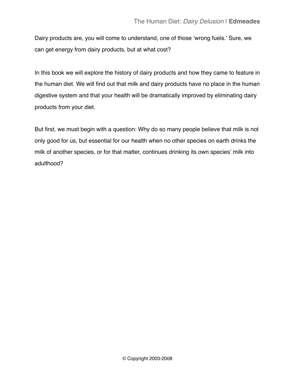Dairy products are, you will come to understand, one of those ʻwrong fuels.' Sure, we can get energy from dairy products, but at what cost?

In this book we will explore the history of dairy products and how they came to feature in the human diet. We will find out that milk and dairy products have no place in the human digestive system and that your health will be dramatically improved by eliminating dairy products from your diet.

But first, we must begin with a question: Why do so many people believe that milk is not only good for us, but essential for our health when no other species on earth drinks the milk of another species, or for that matter, continues drinking its own species' milk into adulthood?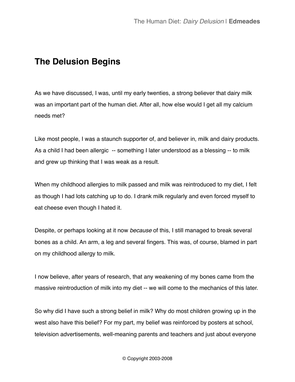# <span id="page-4-0"></span>**The Delusion Begins**

As we have discussed, I was, until my early twenties, a strong believer that dairy milk was an important part of the human diet. After all, how else would I get all my calcium needs met?

Like most people, I was a staunch supporter of, and believer in, milk and dairy products. As a child I had been allergic -- something I later understood as a blessing -- to milk and grew up thinking that I was weak as a result.

When my childhood allergies to milk passed and milk was reintroduced to my diet, I felt as though I had lots catching up to do. I drank milk regularly and even forced myself to eat cheese even though I hated it.

Despite, or perhaps looking at it now *because* of this, I still managed to break several bones as a child. An arm, a leg and several fingers. This was, of course, blamed in part on my childhood allergy to milk.

I now believe, after years of research, that any weakening of my bones came from the massive reintroduction of milk into my diet -- we will come to the mechanics of this later.

So why did I have such a strong belief in milk? Why do most children growing up in the west also have this belief? For my part, my belief was reinforced by posters at school, television advertisements, well-meaning parents and teachers and just about everyone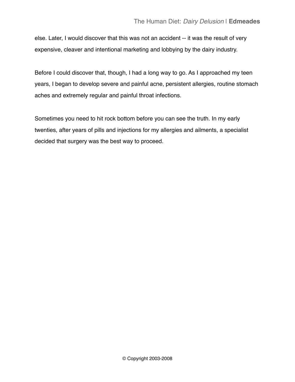else. Later, I would discover that this was not an accident -- it was the result of very expensive, cleaver and intentional marketing and lobbying by the dairy industry.

Before I could discover that, though, I had a long way to go. As I approached my teen years, I began to develop severe and painful acne, persistent allergies, routine stomach aches and extremely regular and painful throat infections.

Sometimes you need to hit rock bottom before you can see the truth. In my early twenties, after years of pills and injections for my allergies and ailments, a specialist decided that surgery was the best way to proceed.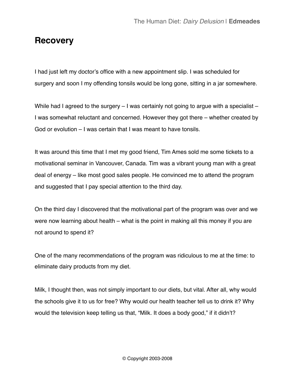### <span id="page-6-0"></span>**Recovery**

I had just left my doctor's office with a new appointment slip. I was scheduled for surgery and soon I my offending tonsils would be long gone, sitting in a jar somewhere.

While had I agreed to the surgery – I was certainly not going to argue with a specialist – I was somewhat reluctant and concerned. However they got there – whether created by God or evolution – I was certain that I was meant to have tonsils.

It was around this time that I met my good friend, Tim Ames sold me some tickets to a motivational seminar in Vancouver, Canada. Tim was a vibrant young man with a great deal of energy – like most good sales people. He convinced me to attend the program and suggested that I pay special attention to the third day.

On the third day I discovered that the motivational part of the program was over and we were now learning about health – what is the point in making all this money if you are not around to spend it?

One of the many recommendations of the program was ridiculous to me at the time: to eliminate dairy products from my diet.

Milk, I thought then, was not simply important to our diets, but vital. After all, why would the schools give it to us for free? Why would our health teacher tell us to drink it? Why would the television keep telling us that, "Milk. It does a body good," if it didn't?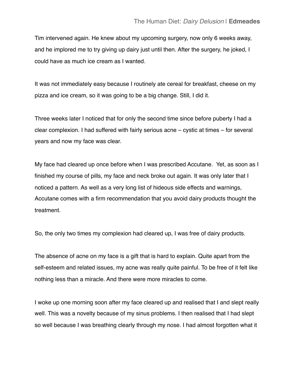Tim intervened again. He knew about my upcoming surgery, now only 6 weeks away, and he implored me to try giving up dairy just until then. After the surgery, he joked, I could have as much ice cream as I wanted.

It was not immediately easy because I routinely ate cereal for breakfast, cheese on my pizza and ice cream, so it was going to be a big change. Still, I did it.

Three weeks later I noticed that for only the second time since before puberty I had a clear complexion. I had suffered with fairly serious acne – cystic at times – for several years and now my face was clear.

My face had cleared up once before when I was prescribed Accutane. Yet, as soon as I finished my course of pills, my face and neck broke out again. It was only later that I noticed a pattern. As well as a very long list of hideous side effects and warnings, Accutane comes with a firm recommendation that you avoid dairy products thought the treatment.

So, the only two times my complexion had cleared up, I was free of dairy products.

The absence of acne on my face is a gift that is hard to explain. Quite apart from the self-esteem and related issues, my acne was really quite painful. To be free of it felt like nothing less than a miracle. And there were more miracles to come.

I woke up one morning soon after my face cleared up and realised that I and slept really well. This was a novelty because of my sinus problems. I then realised that I had slept so well because I was breathing clearly through my nose. I had almost forgotten what it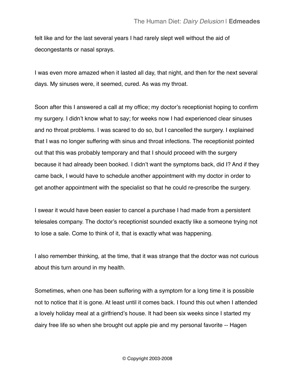felt like and for the last several years I had rarely slept well without the aid of decongestants or nasal sprays.

I was even more amazed when it lasted all day, that night, and then for the next several days. My sinuses were, it seemed, cured. As was my throat.

Soon after this I answered a call at my office; my doctor's receptionist hoping to confirm my surgery. I didn't know what to say; for weeks now I had experienced clear sinuses and no throat problems. I was scared to do so, but I cancelled the surgery. I explained that I was no longer suffering with sinus and throat infections. The receptionist pointed out that this was probably temporary and that I should proceed with the surgery because it had already been booked. I didn't want the symptoms back, did I? And if they came back, I would have to schedule another appointment with my doctor in order to get another appointment with the specialist so that he could re-prescribe the surgery.

I swear it would have been easier to cancel a purchase I had made from a persistent telesales company. The doctor's receptionist sounded exactly like a someone trying not to lose a sale. Come to think of it, that is exactly what was happening.

I also remember thinking, at the time, that it was strange that the doctor was not curious about this turn around in my health.

Sometimes, when one has been suffering with a symptom for a long time it is possible not to notice that it is gone. At least until it comes back. I found this out when I attended a lovely holiday meal at a girlfriend's house. It had been six weeks since I started my dairy free life so when she brought out apple pie and my personal favorite -- Hagen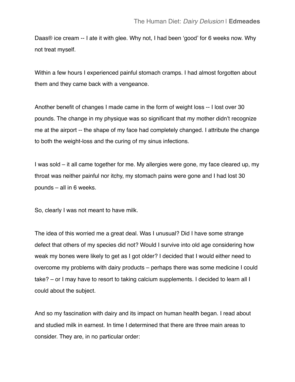Daas® ice cream -- I ate it with glee. Why not, I had been ʻgood' for 6 weeks now. Why not treat myself.

Within a few hours I experienced painful stomach cramps. I had almost forgotten about them and they came back with a vengeance.

Another benefit of changes I made came in the form of weight loss -- I lost over 30 pounds. The change in my physique was so significant that my mother didn't recognize me at the airport -- the shape of my face had completely changed. I attribute the change to both the weight-loss and the curing of my sinus infections.

I was sold – it all came together for me. My allergies were gone, my face cleared up, my throat was neither painful nor itchy, my stomach pains were gone and I had lost 30 pounds – all in 6 weeks.

So, clearly I was not meant to have milk.

The idea of this worried me a great deal. Was I unusual? Did I have some strange defect that others of my species did not? Would I survive into old age considering how weak my bones were likely to get as I got older? I decided that I would either need to overcome my problems with dairy products – perhaps there was some medicine I could take? – or I may have to resort to taking calcium supplements. I decided to learn all I could about the subject.

And so my fascination with dairy and its impact on human health began. I read about and studied milk in earnest. In time I determined that there are three main areas to consider. They are, in no particular order: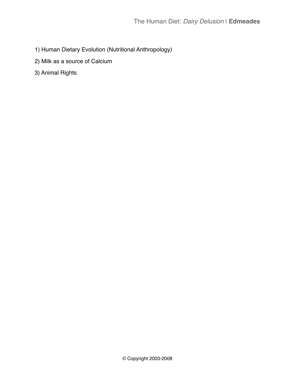- 1) Human Dietary Evolution (Nutritional Anthropology)
- 2) Milk as a source of Calcium
- 3) Animal Rights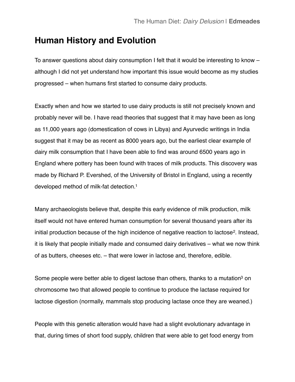### <span id="page-11-0"></span>**Human History and Evolution**

To answer questions about dairy consumption I felt that it would be interesting to know – although I did not yet understand how important this issue would become as my studies progressed – when humans first started to consume dairy products.

Exactly when and how we started to use dairy products is still not precisely known and probably never will be. I have read theories that suggest that it may have been as long as 11,000 years ago (domestication of cows in Libya) and Ayurvedic writings in India suggest that it may be as recent as 8000 years ago, but the earliest clear example of dairy milk consumption that I have been able to find was around 6500 years ago in England where pottery has been found with traces of milk products. This discovery was made by Richard P. Evershed, of the University of Bristol in England, using a recently developed method of milk-fat detection[.1](#page-27-1)

Many archaeologists believe that, despite this early evidence of milk production, milk itself would not have entered human consumption for several thousand years after its initial production because of the high incidence of negative reaction to lactose<sup>[2](#page-27-2)</sup>. Instead, it is likely that people initially made and consumed dairy derivatives – what we now think of as butters, cheeses etc. – that were lower in lactose and, therefore, edible.

Some people were better able to digest lactose than others, thanks to a mutation<sup>3</sup> on chromosome two that allowed people to continue to produce the lactase required for lactose digestion (normally, mammals stop producing lactase once they are weaned.)

People with this genetic alteration would have had a slight evolutionary advantage in that, during times of short food supply, children that were able to get food energy from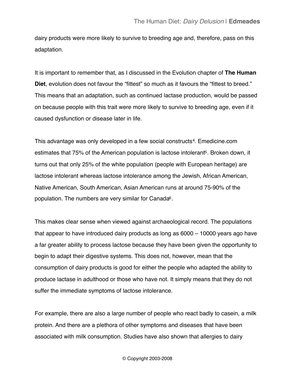dairy products were more likely to survive to breeding age and, therefore, pass on this adaptation.

It is important to remember that, as I discussed in the Evolution chapter of **The Human Diet**, evolution does not favour the "fittest" so much as it favours the "fittest to breed." This means that an adaptation, such as continued lactase production, would be passed on because people with this trait were more likely to survive to breeding age, even if it caused dysfunction or disease later in life.

This advantage was only developed in a few social constructs[4.](#page-27-4) Emedicine.com estimates that 75% of the American population is lactose intolerant<sup>5</sup>. Broken down, it turns out that only 25% of the white population (people with European heritage) are lactose intolerant whereas lactose intolerance among the Jewish, African American, Native American, South American, Asian American runs at around 75-90% of the population. The numbers are very similar for Canada<sup>6</sup>.

This makes clear sense when viewed against archaeological record. The populations that appear to have introduced dairy products as long as 6000 – 10000 years ago have a far greater ability to process lactose because they have been given the opportunity to begin to adapt their digestive systems. This does not, however, mean that the consumption of dairy products is good for either the people who adapted the ability to produce lactase in adulthood or those who have not. It simply means that they do not suffer the immediate symptoms of lactose intolerance.

For example, there are also a large number of people who react badly to casein, a milk protein. And there are a plethora of other symptoms and diseases that have been associated with milk consumption. Studies have also shown that allergies to dairy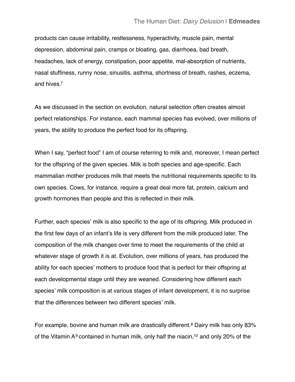products can cause irritability, restlessness, hyperactivity, muscle pain, mental depression, abdominal pain, cramps or bloating, gas, diarrhoea, bad breath, headaches, lack of energy, constipation, poor appetite, mal-absorption of nutrients, nasal stuffiness, runny nose, sinusitis, asthma, shortness of breath, rashes, eczema, and hives[.7](#page-27-7)

As we discussed in the section on evolution, natural selection often creates almost perfect relationships. For instance, each mammal species has evolved, over millions of years, the ability to produce the perfect food for its offspring.

When I say, "perfect food" I am of course referring to milk and, moreover, I mean perfect for the offspring of the given species. Milk is both species and age-specific. Each mammalian mother produces milk that meets the nutritional requirements specific to its own species. Cows, for instance, require a great deal more fat, protein, calcium and growth hormones than people and this is reflected in their milk.

Further, each species' milk is also specific to the age of its offspring. Milk produced in the first few days of an infant's life is very different from the milk produced later. The composition of the milk changes over time to meet the requirements of the child at whatever stage of growth it is at. Evolution, over millions of years, has produced the ability for each species' mothers to produce food that is perfect for their offspring at each developmental stage until they are weaned. Considering how different each species' milk composition is at various stages of infant development, it is no surprise that the differences between two different species' milk.

For example, bovine and human milk are drastically different.<sup>[8](#page-27-8)</sup> Dairy milk has only 83% of the Vitamin  $A<sup>9</sup>$  $A<sup>9</sup>$  $A<sup>9</sup>$  contained in human milk, only half the niacin,<sup>10</sup> and only 20% of the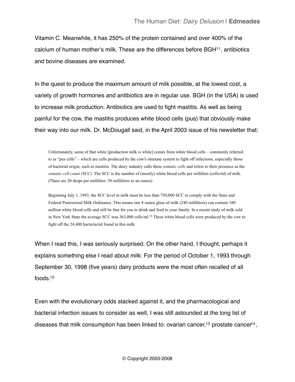Vitamin C. Meanwhile, it has 250% of the protein contained and over 400% of the calcium of human mother's milk. These are the differences before BG[H11,](#page-28-2) antibiotics and bovine diseases are examined.

In the quest to produce the maximum amount of milk possible, at the lowest cost, a variety of growth hormones and antibiotics are in regular use. BGH (in the USA) is used to increase milk production. Antibiotics are used to fight mastitis. As well as being painful for the cow, the mastitis produces white blood cells (pus) that obviously make their way into our milk. Dr. McDougall said, in the April 2003 issue of his newsletter that:

Unfortunately, some of that white [production milk is white] comes from white blood cells – commonly referred to as "pus cells" – which are cells produced by the cow's immune system to fight off infections, especially those of bacterial origin, such as mastitis. The dairy industry calls these *somatic cells* and refers to their presence as the *somatic cell count (SCC).* The SCC is the number of (mostly) white blood cells per milliliter (cells/ml) of milk. (There are 20 drops per milliliter; 30 milliliters to an ounce)

Beginning July 1, 1993, the SCC level in milk must be less than 750,000 SCC to comply with the State and Federal Pasteurized Milk Ordinance. This means one 8 ounce glass of milk (240 milliliters) can contain 180 million white blood cells and still be fine for you to drink and feed to your family. In a recent study of milk sold in New York State the average SCC was 363,000 cells/ml.33 These white blood cells were produced by the cow to fight off the 24,400 bacteria/ml found in this milk.

When I read this, I was seriously surprised. On the other hand, I thought, perhaps it explains something else I read about milk: For the period of October 1, 1993 through September 30, 1998 (five years) dairy products were the most often recalled of all foods[.12](#page-28-3)

Even with the evolutionary odds stacked against it, and the pharmacological and bacterial infection issues to consider as well, I was still astounded at the long list of diseases that milk consumption has been linked to: ovarian cancer,<sup>13</sup> prostate cancer<sup>14</sup>,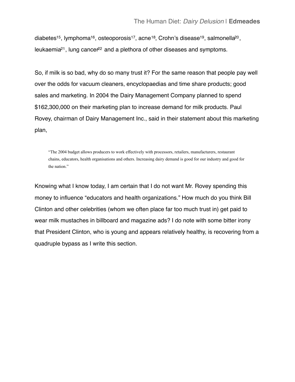diabetes<sup>15</sup>, lymphoma<sup>16</sup>, osteoporosis<sup>17</sup>, acne<sup>[18](#page-29-2)</sup>, Crohn's disease<sup>19</sup>, salmonella<sup>20</sup>, leukaemia<sup>21</sup>, lung cancer<sup>22</sup> and a plethora of other diseases and symptoms.

So, if milk is so bad, why do so many trust it? For the same reason that people pay well over the odds for vacuum cleaners, encyclopaedias and time share products; good sales and marketing. In 2004 the Dairy Management Company planned to spend \$162,300,000 on their marketing plan to increase demand for milk products. Paul Rovey, chairman of Dairy Management Inc., said in their statement about this marketing plan,

"The 2004 budget allows producers to work effectively with processors, retailers, manufacturers, restaurant chains, educators, health organisations and others. Increasing dairy demand is good for our industry and good for the nation."

Knowing what I know today, I am certain that I do not want Mr. Rovey spending this money to influence "educators and health organizations." How much do you think Bill Clinton and other celebrities (whom we often place far too much trust in) get paid to wear milk mustaches in billboard and magazine ads? I do note with some bitter irony that President Clinton, who is young and appears relatively healthy, is recovering from a quadruple bypass as I write this section.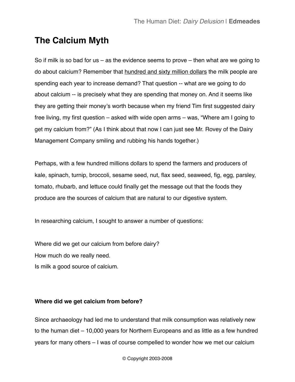# <span id="page-16-0"></span>**The Calcium Myth**

So if milk is so bad for us – as the evidence seems to prove – then what are we going to do about calcium? Remember that hundred and sixty million dollars the milk people are spending each year to increase demand? That question -- what are we going to do about calcium -- is precisely what they are spending that money on. And it seems like they are getting their money's worth because when my friend Tim first suggested dairy free living, my first question – asked with wide open arms – was, "Where am I going to get my calcium from?" (As I think about that now I can just see Mr. Rovey of the Dairy Management Company smiling and rubbing his hands together.)

Perhaps, with a few hundred millions dollars to spend the farmers and producers of kale, spinach, turnip, broccoli, sesame seed, nut, flax seed, seaweed, fig, egg, parsley, tomato, rhubarb, and lettuce could finally get the message out that the foods they produce are the sources of calcium that are natural to our digestive system.

In researching calcium, I sought to answer a number of questions:

Where did we get our calcium from before dairy? How much do we really need. Is milk a good source of calcium.

### <span id="page-16-1"></span>**Where did we get calcium from before?**

Since archaeology had led me to understand that milk consumption was relatively new to the human diet – 10,000 years for Northern Europeans and as little as a few hundred years for many others – I was of course compelled to wonder how we met our calcium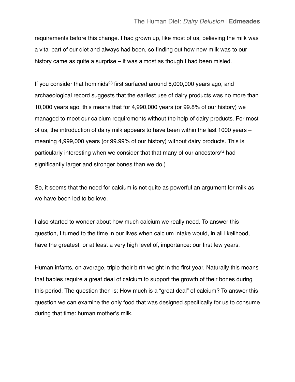requirements before this change. I had grown up, like most of us, believing the milk was a vital part of our diet and always had been, so finding out how new milk was to our history came as quite a surprise – it was almost as though I had been misled.

If you consider that hominids<sup>23</sup> first surfaced around 5,000,000 years ago, and archaeological record suggests that the earliest use of dairy products was no more than 10,000 years ago, this means that for 4,990,000 years (or 99.8% of our history) we managed to meet our calcium requirements without the help of dairy products. For most of us, the introduction of dairy milk appears to have been within the last 1000 years – meaning 4,999,000 years (or 99.99% of our history) without dairy products. This is particularly interesting when we consider that that many of our ancestors<sup>24</sup> had significantly larger and stronger bones than we do.)

So, it seems that the need for calcium is not quite as powerful an argument for milk as we have been led to believe.

I also started to wonder about how much calcium we really need. To answer this question, I turned to the time in our lives when calcium intake would, in all likelihood, have the greatest, or at least a very high level of, importance: our first few years.

Human infants, on average, triple their birth weight in the first year. Naturally this means that babies require a great deal of calcium to support the growth of their bones during this period. The question then is: How much is a "great deal" of calcium? To answer this question we can examine the only food that was designed specifically for us to consume during that time: human mother's milk.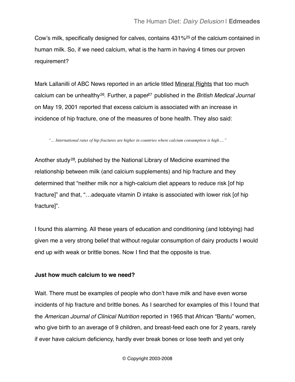Cow's milk, specifically designed for calves, contains 431[%25](#page-31-5) of the calcium contained in human milk. So, if we need calcium, what is the harm in having 4 times our proven requirement?

Mark Lallanilli of ABC News reported in an article titled Mineral Rights that too much calcium can be unhealthy<sup>[26](#page-31-6)</sup>. Further, a paper<sup>27</sup> published in the *British Medical Journal* on May 19, 2001 reported that excess calcium is associated with an increase in incidence of hip fracture, one of the measures of bone health. They also said:

*"… International rates of hip fractures are higher in countries where calcium consumption is high…."*

Another study[28,](#page-32-0) published by the National Library of Medicine examined the relationship between milk (and calcium supplements) and hip fracture and they determined that "neither milk nor a high-calcium diet appears to reduce risk [of hip fracture]" and that, "…adequate vitamin D intake is associated with lower risk [of hip fracture]".

I found this alarming. All these years of education and conditioning (and lobbying) had given me a very strong belief that without regular consumption of dairy products I would end up with weak or brittle bones. Now I find that the opposite is true.

### <span id="page-18-0"></span>**Just how much calcium to we need?**

Wait. There must be examples of people who don't have milk and have even worse incidents of hip fracture and brittle bones. As I searched for examples of this I found that the *American Journal of Clinical Nutrition* reported in 1965 that African "Bantu" women, who give birth to an average of 9 children, and breast-feed each one for 2 years, rarely if ever have calcium deficiency, hardly ever break bones or lose teeth and yet only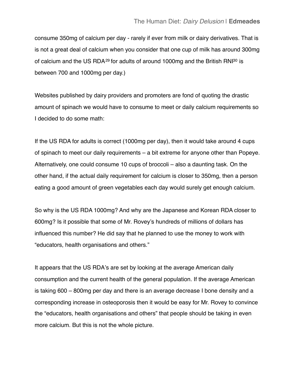consume 350mg of calcium per day - rarely if ever from milk or dairy derivatives. That is is not a great deal of calcium when you consider that one cup of milk has around 300mg of calcium and the US RDA<sup>29</sup> for adults of around 1000mg and the British RNI<sup>30</sup> is between 700 and 1000mg per day.)

Websites published by dairy providers and promoters are fond of quoting the drastic amount of spinach we would have to consume to meet or daily calcium requirements so I decided to do some math:

If the US RDA for adults is correct (1000mg per day), then it would take around 4 cups of spinach to meet our daily requirements – a bit extreme for anyone other than Popeye. Alternatively, one could consume 10 cups of broccoli – also a daunting task. On the other hand, if the actual daily requirement for calcium is closer to 350mg, then a person eating a good amount of green vegetables each day would surely get enough calcium.

So why is the US RDA 1000mg? And why are the Japanese and Korean RDA closer to 600mg? Is it possible that some of Mr. Rovey's hundreds of millions of dollars has influenced this number? He did say that he planned to use the money to work with "educators, health organisations and others."

It appears that the US RDA's are set by looking at the average American daily consumption and the current health of the general population. If the average American is taking 600 – 800mg per day and there is an average decrease I bone density and a corresponding increase in osteoporosis then it would be easy for Mr. Rovey to convince the "educators, health organisations and others" that people should be taking in even more calcium. But this is not the whole picture.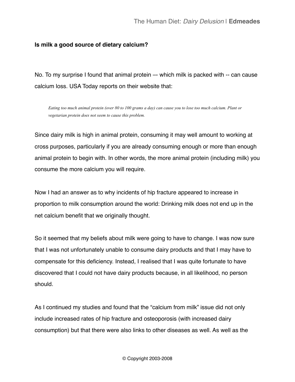### <span id="page-20-0"></span>**Is milk a good source of dietary calcium?**

No. To my surprise I found that animal protein –- which milk is packed with -- can cause calcium loss. USA Today reports on their website that:

*Eating too much animal protein (over 80 to 100 grams a day) can cause you to lose too much calcium. Plant or vegetarian protein does not seem to cause this problem.*

Since dairy milk is high in animal protein, consuming it may well amount to working at cross purposes, particularly if you are already consuming enough or more than enough animal protein to begin with. In other words, the more animal protein (including milk) you consume the more calcium you will require.

Now I had an answer as to why incidents of hip fracture appeared to increase in proportion to milk consumption around the world: Drinking milk does not end up in the net calcium benefit that we originally thought.

So it seemed that my beliefs about milk were going to have to change. I was now sure that I was not unfortunately unable to consume dairy products and that I may have to compensate for this deficiency. Instead, I realised that I was quite fortunate to have discovered that I could not have dairy products because, in all likelihood, no person should.

As I continued my studies and found that the "calcium from milk" issue did not only include increased rates of hip fracture and osteoporosis (with increased dairy consumption) but that there were also links to other diseases as well. As well as the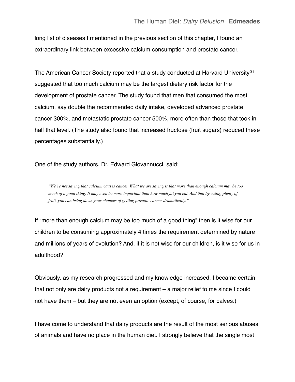long list of diseases I mentioned in the previous section of this chapter, I found an extraordinary link between excessive calcium consumption and prostate cancer.

The American Cancer Society reported that a study conducted at Harvard University<sup>[31](#page-32-3)</sup> suggested that too much calcium may be the largest dietary risk factor for the development of prostate cancer. The study found that men that consumed the most calcium, say double the recommended daily intake, developed advanced prostate cancer 300%, and metastatic prostate cancer 500%, more often than those that took in half that level. (The study also found that increased fructose (fruit sugars) reduced these percentages substantially.)

One of the study authors, Dr. Edward Giovannucci, said:

*"We're not saying that calcium causes cancer. What we are saying is that more than enough calcium may be too much of a good thing. It may even be more important than how much fat you eat. And that by eating plenty of fruit, you can bring down your chances of getting prostate cancer dramatically."*

If "more than enough calcium may be too much of a good thing" then is it wise for our children to be consuming approximately 4 times the requirement determined by nature and millions of years of evolution? And, if it is not wise for our children, is it wise for us in adulthood?

Obviously, as my research progressed and my knowledge increased, I became certain that not only are dairy products not a requirement – a major relief to me since I could not have them – but they are not even an option (except, of course, for calves.)

I have come to understand that dairy products are the result of the most serious abuses of animals and have no place in the human diet. I strongly believe that the single most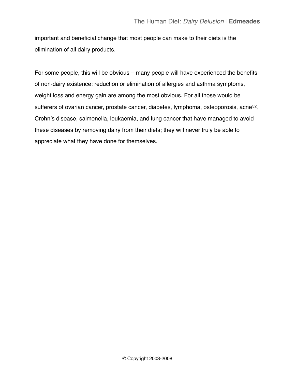important and beneficial change that most people can make to their diets is the elimination of all dairy products.

For some people, this will be obvious – many people will have experienced the benefits of non-dairy existence: reduction or elimination of allergies and asthma symptoms, weight loss and energy gain are among the most obvious. For all those would be sufferers of ovarian cancer, prostate cancer, diabetes, lymphoma, osteoporosis, acne<sup>[32](#page-32-4)</sup>, Crohn's disease, salmonella, leukaemia, and lung cancer that have managed to avoid these diseases by removing dairy from their diets; they will never truly be able to appreciate what they have done for themselves.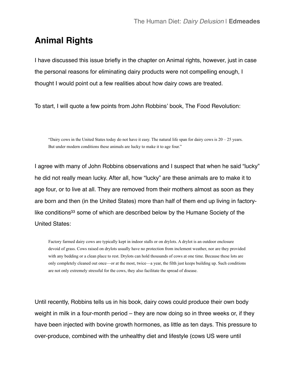## <span id="page-23-0"></span>**Animal Rights**

I have discussed this issue briefly in the chapter on Animal rights, however, just in case the personal reasons for eliminating dairy products were not compelling enough, I thought I would point out a few realities about how dairy cows are treated.

To start, I will quote a few points from John Robbins' book, The Food Revolution:

"Dairy cows in the United States today do not have it easy. The natural life span for dairy cows is  $20 - 25$  years. But under modern conditions these animals are lucky to make it to age four."

I agree with many of John Robbins observations and I suspect that when he said "lucky" he did not really mean lucky. After all, how "lucky" are these animals are to make it to age four, or to live at all. They are removed from their mothers almost as soon as they are born and then (in the United States) more than half of them end up living in factorylike conditions<sup>33</sup> some of which are described below by the Humane Society of the United States:

Factory farmed dairy cows are typically kept in indoor stalls or on drylots. A drylot is an outdoor enclosure devoid of grass. Cows raised on drylots usually have no protection from inclement weather, nor are they provided with any bedding or a clean place to rest. Drylots can hold thousands of cows at one time. Because these lots are only completely cleaned out once—or at the most, twice—a year, the filth just keeps building up. Such conditions are not only extremely stressful for the cows, they also facilitate the spread of disease.

Until recently, Robbins tells us in his book, dairy cows could produce their own body weight in milk in a four-month period – they are now doing so in three weeks or, if they have been injected with bovine growth hormones, as little as ten days. This pressure to over-produce, combined with the unhealthy diet and lifestyle (cows US were until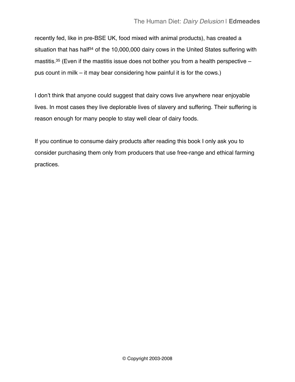recently fed, like in pre-BSE UK, food mixed with animal products), has created a situation that has half<sup>34</sup> of the 10,000,000 dairy cows in the United States suffering with mastitis.<sup>35</sup> (Even if the mastitis issue does not bother you from a health perspective  $$ pus count in milk – it may bear considering how painful it is for the cows.)

I don't think that anyone could suggest that dairy cows live anywhere near enjoyable lives. In most cases they live deplorable lives of slavery and suffering. Their suffering is reason enough for many people to stay well clear of dairy foods.

If you continue to consume dairy products after reading this book I only ask you to consider purchasing them only from producers that use free-range and ethical farming practices.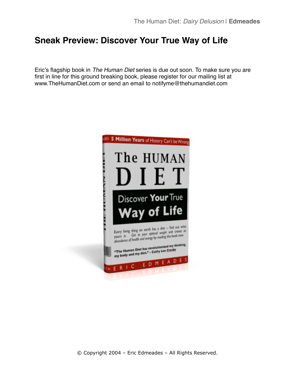## <span id="page-25-0"></span>**Sneak Preview: Discover Your True Way of Life**

Eric's flagship book in *The Human Diet* series is due out soon. To make sure you are first in line for this ground breaking book, please register for our mailing list at www.TheHumanDiet.com or send an email to notifyme@thehumandiet.com

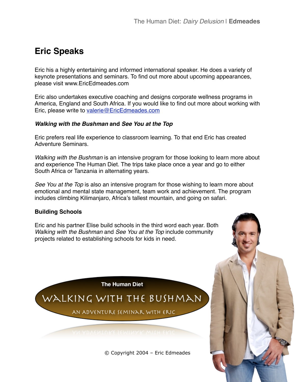# <span id="page-26-0"></span>**Eric Speaks**

Eric his a highly entertaining and informed international speaker. He does a variety of keynote presentations and seminars. To find out more about upcoming appearances, please visit www.EricEdmeades.com

Eric also undertakes executive coaching and designs corporate wellness programs in America, England and South Africa. If you would like to find out more about working with Eric, please write to [valerie@EricEdmeades.com](mailto:valerie@EricEdmeades.com)

### <span id="page-26-1"></span>*Walking with the Bushman* **and** *See You at the Top*

Eric prefers real life experience to classroom learning. To that end Eric has created Adventure Seminars.

*Walking with the Bushman* is an intensive program for those looking to learn more about and experience The Human Diet. The trips take place once a year and go to either South Africa or Tanzania in alternating years.

*See You at the Top* is also an intensive program for those wishing to learn more about emotional and mental state management, team work and achievement. The program includes climbing Kilimanjaro, Africa's tallest mountain, and going on safari.

### <span id="page-26-2"></span>**Building Schools**

Eric and his partner Elise build schools in the third word each year. Both *Walking with the Bushman* and *See You at the Top* include community projects related to establishing schools for kids in need.

**The Human Diet** 

# WALKING WITH THE BUSHMAN

AN ADVENTURE SEMINAR WITH ERIC

© Copyright 2004 – Eric Edmeades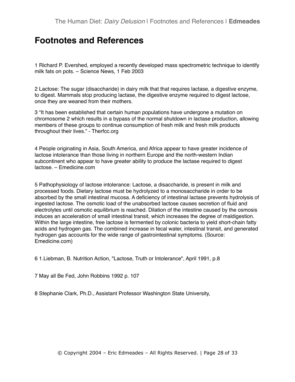### <span id="page-27-0"></span>**Footnotes and References**

<span id="page-27-1"></span>1 Richard P. Evershed, employed a recently developed mass spectrometric technique to identify milk fats on pots. – Science News, 1 Feb 2003

<span id="page-27-2"></span>2 Lactose: The sugar (disaccharide) in dairy milk that that requires lactase, a digestive enzyme, to digest. Mammals stop producing lactase, the digestive enzyme required to digest lactose, once they are weaned from their mothers.

<span id="page-27-3"></span>3 "It has been established that certain human populations have undergone a mutation on chromosome 2 which results in a bypass of the normal shutdown in lactase production, allowing members of these groups to continue consumption of fresh milk and fresh milk products throughout their lives." - Therfcc.org

<span id="page-27-4"></span>4 People originating in Asia, South America, and Africa appear to have greater incidence of lactose intolerance than those living in northern Europe and the north-western Indian subcontinent who appear to have greater ability to produce the lactase required to digest lactose. – Emedicine.com

<span id="page-27-5"></span>5 Pathophysiology of lactose intolerance: Lactose, a disaccharide, is present in milk and processed foods. Dietary lactose must be hydrolyzed to a monosaccharide in order to be absorbed by the small intestinal mucosa. A deficiency of intestinal lactase prevents hydrolysis of ingested lactose. The osmotic load of the unabsorbed lactose causes secretion of fluid and electrolytes until osmotic equilibrium is reached. Dilation of the intestine caused by the osmosis induces an acceleration of small intestinal transit, which increases the degree of maldigestion. Within the large intestine, free lactose is fermented by colonic bacteria to yield short-chain fatty acids and hydrogen gas. The combined increase in fecal water, intestinal transit, and generated hydrogen gas accounts for the wide range of gastrointestinal symptoms. (Source: Emedicine.com)

<span id="page-27-6"></span>6 1.Liebman, B. Nutrition Action, "Lactose, Truth or Intolerance", April 1991, p.8

<span id="page-27-7"></span>7 May all Be Fed, John Robbins 1992 p. 107

<span id="page-27-8"></span>8 Stephanie Clark, Ph.D., Assistant Professor Washington State University,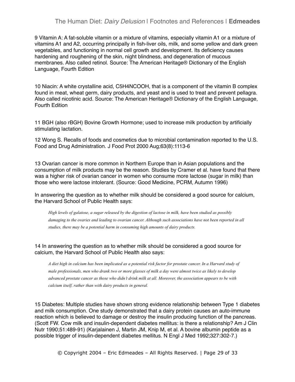### The Human Diet: *Dairy Delusion* | Footnotes and References | **Edmeades**

<span id="page-28-0"></span>9 Vitamin A: A fat-soluble vitamin or a mixture of vitamins, especially vitamin A1 or a mixture of vitamins A1 and A2, occurring principally in fish-liver oils, milk, and some yellow and dark green vegetables, and functioning in normal cell growth and development. Its deficiency causes hardening and roughening of the skin, night blindness, and degeneration of mucous membranes. Also called retinol. Source: The American Heritage® Dictionary of the English Language, Fourth Edition

<span id="page-28-1"></span>10 Niacin: A white crystalline acid, C5H4NCOOH, that is a component of the vitamin B complex found in meat, wheat germ, dairy products, and yeast and is used to treat and prevent pellagra. Also called nicotinic acid. Source: The American Heritage® Dictionary of the English Language, Fourth Edition

<span id="page-28-2"></span>11 BGH (also rBGH) Bovine Growth Hormone; used to increase milk production by artificially stimulating lactation.

<span id="page-28-3"></span>12 Wong S. Recalls of foods and cosmetics due to microbial contamination reported to the U.S. Food and Drug Administration. J Food Prot 2000 Aug;63(8):1113-6

<span id="page-28-4"></span>13 Ovarian cancer is more common in Northern Europe than in Asian populations and the consumption of milk products may be the reason. Studies by Cramer et al. have found that there was a higher risk of ovarian cancer in women who consume more lactose (sugar in milk) than those who were lactose intolerant. (Source: Good Medicine, PCRM, Autumn 1996)

In answering the question as to whether milk should be considered a good source for calcium, the Harvard School of Public Health says:

*High levels of galatose, a sugar released by the digestion of lactose in milk, have been studied as possibly damaging to the ovaries and leading to ovarian cancer. Although such associations have not been reported in all studies, there may be a potential harm in consuming high amounts of dairy products.*

<span id="page-28-5"></span>14 In answering the question as to whether milk should be considered a good source for calcium, the Harvard School of Public Health also says:

*A diet high in calcium has been implicated as a potential risk factor for prostate cancer. In a Harvard study of male professionals, men who drank two or more glasses of milk a day were almost twice as likely to develop advanced prostate cancer as those who didn't drink milk at all. Moreover, the association appears to be with calcium itself, rather than with dairy products in general.*

<span id="page-28-6"></span>15 Diabetes: Multiple studies have shown strong evidence relationship between Type 1 diabetes and milk consumption. One study demonstrated that a dairy protein causes an auto-immune reaction which is believed to damage or destroy the insulin producing function of the pancreas. (Scott FW. Cow milk and insulin-dependent diabetes mellitus: is there a relationship? Am J Clin Nutr 1990;51:489-91) (Karjalainen J, Martin JM, Knip M, et al. A bovine albumin peptide as a possible trigger of insulin-dependent diabetes mellitus. N Engl J Med 1992;327:302-7.)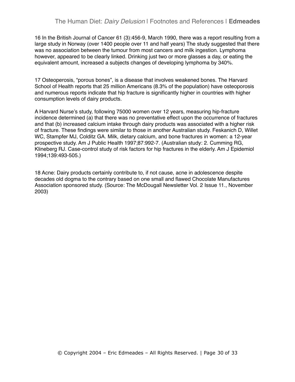<span id="page-29-0"></span>16 In the British Journal of Cancer 61 (3):456-9, March 1990, there was a report resulting from a large study in Norway (over 1400 people over 11 and half years) The study suggested that there was no association between the tumour from most cancers and milk ingestion. Lymphoma however, appeared to be clearly linked. Drinking just two or more glasses a day, or eating the equivalent amount, increased a subjects changes of developing lymphoma by 340%.

<span id="page-29-1"></span>17 Osteoperosis, "porous bones", is a disease that involves weakened bones. The Harvard School of Health reports that 25 million Americans (8.3% of the population) have osteoporosis and numerous reports indicate that hip fracture is significantly higher in countries with higher consumption levels of dairy products.

A Harvard Nurse's study, following 75000 women over 12 years, measuring hip-fracture incidence determined (a) that there was no preventative effect upon the occurrence of fractures and that (b) increased calcium intake through dairy products was associated with a higher risk of fracture. These findings were similar to those in another Australian study. Feskanich D, Willet WC, Stampfer MJ, Colditz GA. Milk, dietary calcium, and bone fractures in women: a 12-year prospective study. Am J Public Health 1997;87:992-7. (Australian study: 2. Cumming RG, Klineberg RJ. Case-control study of risk factors for hip fractures in the elderly. Am J Epidemiol 1994;139:493-505.)

<span id="page-29-2"></span>18 Acne: Dairy products certainly contribute to, if not cause, acne in adolescence despite decades old dogma to the contrary based on one small and flawed Chocolate Manufactures Association sponsored study. (Source: The McDougall Newsletter Vol. 2 Issue 11., November 2003)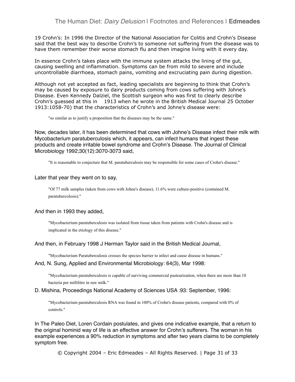<span id="page-30-0"></span>19 Crohn's: In 1996 the Director of the National Association for Colitis and Crohn's Disease said that the best way to describe Crohn's to someone not suffering from the disease was to have them remember their worse stomach flu and then imagine living with it every day.

In essence Crohn's takes place with the immune system attacks the lining of the gut, causing swelling and inflammation. Symptoms can be from mild to severe and include uncontrollable diarrhoea, stomach pains, vomiting and excruciating pain during digestion.

Although not yet accepted as fact, leading specialists are beginning to think that Crohn's may be caused by exposure to dairy products coming from cows suffering with Johne's Disease. Even Kennedy Dalziel, the Scottish surgeon who was first to clearly describe Crohn's guessed at this in 1913 when he wrote in the British Medical Journal 25 October 1913:1058-70) that the characteristics of Crohn's and Johne's disease were:

"so similar as to justify a proposition that the diseases may be the same."

Now, decades later, it has been determined that cows with Johne's Disease infect their milk with Mycobacterium paratuberculosis which, it appears, can infect humans that ingest these products and create irritable bowel syndrome and Crohn's Disease. The Journal of Clinical Microbiology 1992;30(12):3070-3073 said,

"It is reasonable to conjecture that M. paratuberculosis may be responsible for some cases of Crohn's disease."

#### Later that year they went on to say,

"Of 77 milk samples (taken from cows with Johne's disease), 11.6% were culture-positive (contained M. paratubercolosis)."

#### And then in 1993 they added,

"Mycobacterium paratuberculosis was isolated from tissue taken from patients with Crohn's disease and is implicated in the etiology of this disease."

#### And then, in February 1998 J Herman Taylor said in the British Medical Journal,

"Mycobacterium Paratuberculosis crosses the species barrier to infect and cause disease in humans."

#### And, N. Sung, Applied and Environmental Microbiology: 64(3), Mar 1998:

"Mycobacterium paratuberculosis is capable of surviving commercial pasteurization, when there are more than 10 bacteria per millilitre in raw milk."

#### D. Mishina, Proceedings National Academy of Sciences USA :93: September, 1996:

"Mycobacterium paratuberculosis RNA was found in 100% of Crohn's disease patients, compared with 0% of controls."

In The Paleo Diet, Loren Cordain postulates, and gives one indicative example, that a return to the original hominid way of life is an effective answer for Crohn's sufferers. The woman in his example experiences a 90% reduction in symptoms and after two years claims to be completely symptom free.

© Copyright 2004 – Eric Edmeades – All Rights Reserved. | Page 31 of 33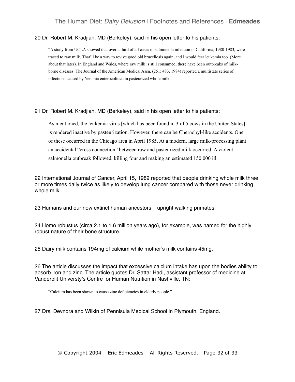#### <span id="page-31-0"></span>20 Dr. Robert M. Kradjian, MD (Berkeley), said in his open letter to his patients:

"A study from UCLA showed that over a third of all cases of salmonella infection in California, 1980-1983, were traced to raw milk. That'll be a way to revive good old brucellosis again, and I would fear leukemia too. (More about that later). In England and Wales, where raw milk is still consumed, there have been outbreaks of milkborne diseases. The Journal of the American Medical Assn. (251: 483, 1984) reported a multistate series of infections caused by Yersinia enterocolitica in pasteurized whole milk."

<span id="page-31-1"></span>21 Dr. Robert M. Kradjian, MD (Berkeley), said in his open letter to his patients:

As mentioned, the leukemia virus [which has been found in 3 of 5 cows in the United States] is rendered inactive by pasteurization. However, there can be Chernobyl-like accidents. One of these occurred in the Chicago area in April 1985. At a modern, large milk-processing plant an accidental "cross connection" between raw and pasteurized milk occurred. A violent salmonella outbreak followed, killing four and making an estimated 150,000 ill.

<span id="page-31-2"></span>22 International Journal of Cancer, April 15, 1989 reported that people drinking whole milk three or more times daily twice as likely to develop lung cancer compared with those never drinking whole milk.

<span id="page-31-3"></span>23 Humans and our now extinct human ancestors – upright walking primates.

<span id="page-31-4"></span>24 Homo robustus (circa 2.1 to 1.6 million years ago), for example, was named for the highly robust nature of their bone structure.

<span id="page-31-5"></span>25 Dairy milk contains 194mg of calcium while mother's milk contains 45mg.

<span id="page-31-6"></span>26 The article discusses the impact that excessive calcium intake has upon the bodies ability to absorb iron and zinc. The article quotes Dr. Sattar Hadi, assistant professor of medicine at Vanderblit Universty's Centre for Human Nutrition in Nashville, TN:

"Calcium has been shown to cause zinc deficiencies in elderly people."

<span id="page-31-7"></span>27 Drs. Devndra and Wilkin of Pennisula Medical School in Plymouth, England.